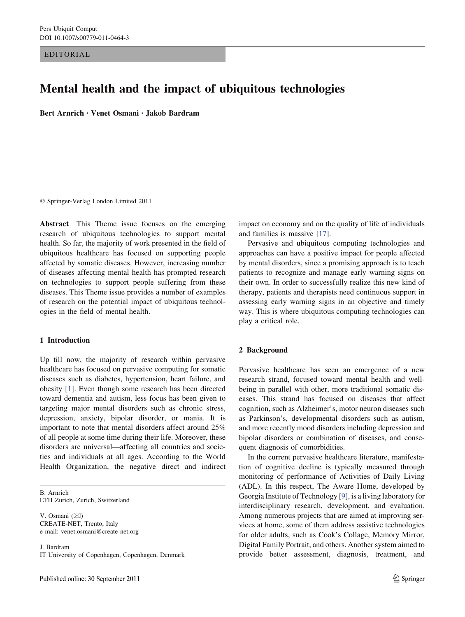EDITORIAL

# Mental health and the impact of ubiquitous technologies

Bert Arnrich • Venet Osmani • Jakob Bardram

- Springer-Verlag London Limited 2011

Abstract This Theme issue focuses on the emerging research of ubiquitous technologies to support mental health. So far, the majority of work presented in the field of ubiquitous healthcare has focused on supporting people affected by somatic diseases. However, increasing number of diseases affecting mental health has prompted research on technologies to support people suffering from these diseases. This Theme issue provides a number of examples of research on the potential impact of ubiquitous technologies in the field of mental health.

## 1 Introduction

Up till now, the majority of research within pervasive healthcare has focused on pervasive computing for somatic diseases such as diabetes, hypertension, heart failure, and obesity [[1\]](#page-2-0). Even though some research has been directed toward dementia and autism, less focus has been given to targeting major mental disorders such as chronic stress, depression, anxiety, bipolar disorder, or mania. It is important to note that mental disorders affect around 25% of all people at some time during their life. Moreover, these disorders are universal—affecting all countries and societies and individuals at all ages. According to the World Health Organization, the negative direct and indirect

B. Arnrich ETH Zurich, Zurich, Switzerland

V. Osmani  $(\boxtimes)$ CREATE-NET, Trento, Italy e-mail: venet.osmani@create-net.org

J. Bardram IT University of Copenhagen, Copenhagen, Denmark impact on economy and on the quality of life of individuals and families is massive [\[17](#page-2-0)].

Pervasive and ubiquitous computing technologies and approaches can have a positive impact for people affected by mental disorders, since a promising approach is to teach patients to recognize and manage early warning signs on their own. In order to successfully realize this new kind of therapy, patients and therapists need continuous support in assessing early warning signs in an objective and timely way. This is where ubiquitous computing technologies can play a critical role.

## 2 Background

Pervasive healthcare has seen an emergence of a new research strand, focused toward mental health and wellbeing in parallel with other, more traditional somatic diseases. This strand has focused on diseases that affect cognition, such as Alzheimer's, motor neuron diseases such as Parkinson's, developmental disorders such as autism, and more recently mood disorders including depression and bipolar disorders or combination of diseases, and consequent diagnosis of comorbidities.

In the current pervasive healthcare literature, manifestation of cognitive decline is typically measured through monitoring of performance of Activities of Daily Living (ADL). In this respect, The Aware Home, developed by Georgia Institute of Technology [[9\]](#page-2-0), is a living laboratory for interdisciplinary research, development, and evaluation. Among numerous projects that are aimed at improving services at home, some of them address assistive technologies for older adults, such as Cook's Collage, Memory Mirror, Digital Family Portrait, and others. Another system aimed to provide better assessment, diagnosis, treatment, and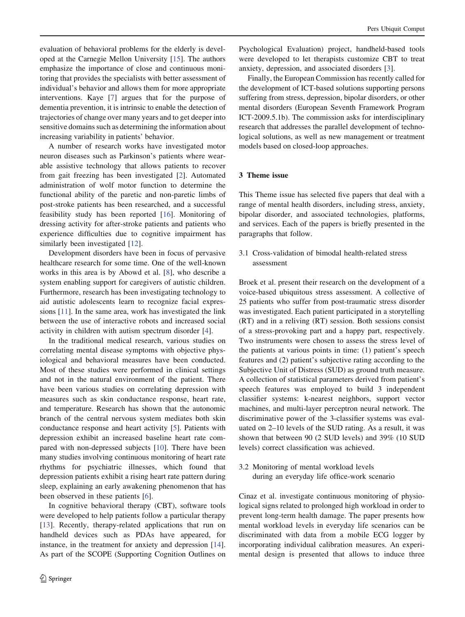evaluation of behavioral problems for the elderly is developed at the Carnegie Mellon University [\[15](#page-2-0)]. The authors emphasize the importance of close and continuous monitoring that provides the specialists with better assessment of individual's behavior and allows them for more appropriate interventions. Kaye [[7\]](#page-2-0) argues that for the purpose of dementia prevention, it is intrinsic to enable the detection of trajectories of change over many years and to get deeper into sensitive domains such as determining the information about increasing variability in patients' behavior.

A number of research works have investigated motor neuron diseases such as Parkinson's patients where wearable assistive technology that allows patients to recover from gait freezing has been investigated [\[2](#page-2-0)]. Automated administration of wolf motor function to determine the functional ability of the paretic and non-paretic limbs of post-stroke patients has been researched, and a successful feasibility study has been reported [[16\]](#page-2-0). Monitoring of dressing activity for after-stroke patients and patients who experience difficulties due to cognitive impairment has similarly been investigated [\[12](#page-2-0)].

Development disorders have been in focus of pervasive healthcare research for some time. One of the well-known works in this area is by Abowd et al. [[8\]](#page-2-0), who describe a system enabling support for caregivers of autistic children. Furthermore, research has been investigating technology to aid autistic adolescents learn to recognize facial expressions [[11\]](#page-2-0). In the same area, work has investigated the link between the use of interactive robots and increased social activity in children with autism spectrum disorder [\[4](#page-2-0)].

In the traditional medical research, various studies on correlating mental disease symptoms with objective physiological and behavioral measures have been conducted. Most of these studies were performed in clinical settings and not in the natural environment of the patient. There have been various studies on correlating depression with measures such as skin conductance response, heart rate, and temperature. Research has shown that the autonomic branch of the central nervous system mediates both skin conductance response and heart activity [[5\]](#page-2-0). Patients with depression exhibit an increased baseline heart rate compared with non-depressed subjects [\[10](#page-2-0)]. There have been many studies involving continuous monitoring of heart rate rhythms for psychiatric illnesses, which found that depression patients exhibit a rising heart rate pattern during sleep, explaining an early awakening phenomenon that has been observed in these patients [[6\]](#page-2-0).

In cognitive behavioral therapy (CBT), software tools were developed to help patients follow a particular therapy [\[13](#page-2-0)]. Recently, therapy-related applications that run on handheld devices such as PDAs have appeared, for instance, in the treatment for anxiety and depression [\[14](#page-2-0)]. As part of the SCOPE (Supporting Cognition Outlines on

Psychological Evaluation) project, handheld-based tools were developed to let therapists customize CBT to treat anxiety, depression, and associated disorders [[3\]](#page-2-0).

Finally, the European Commission has recently called for the development of ICT-based solutions supporting persons suffering from stress, depression, bipolar disorders, or other mental disorders (European Seventh Framework Program ICT-2009.5.1b). The commission asks for interdisciplinary research that addresses the parallel development of technological solutions, as well as new management or treatment models based on closed-loop approaches.

### 3 Theme issue

This Theme issue has selected five papers that deal with a range of mental health disorders, including stress, anxiety, bipolar disorder, and associated technologies, platforms, and services. Each of the papers is briefly presented in the paragraphs that follow.

3.1 Cross-validation of bimodal health-related stress assessment

Broek et al. present their research on the development of a voice-based ubiquitous stress assessment. A collective of 25 patients who suffer from post-traumatic stress disorder was investigated. Each patient participated in a storytelling (RT) and in a reliving (RT) session. Both sessions consist of a stress-provoking part and a happy part, respectively. Two instruments were chosen to assess the stress level of the patients at various points in time: (1) patient's speech features and (2) patient's subjective rating according to the Subjective Unit of Distress (SUD) as ground truth measure. A collection of statistical parameters derived from patient's speech features was employed to build 3 independent classifier systems: k-nearest neighbors, support vector machines, and multi-layer perceptron neural network. The discriminative power of the 3-classifier systems was evaluated on 2–10 levels of the SUD rating. As a result, it was shown that between 90 (2 SUD levels) and 39% (10 SUD levels) correct classification was achieved.

3.2 Monitoring of mental workload levels during an everyday life office-work scenario

Cinaz et al. investigate continuous monitoring of physiological signs related to prolonged high workload in order to prevent long-term health damage. The paper presents how mental workload levels in everyday life scenarios can be discriminated with data from a mobile ECG logger by incorporating individual calibration measures. An experimental design is presented that allows to induce three